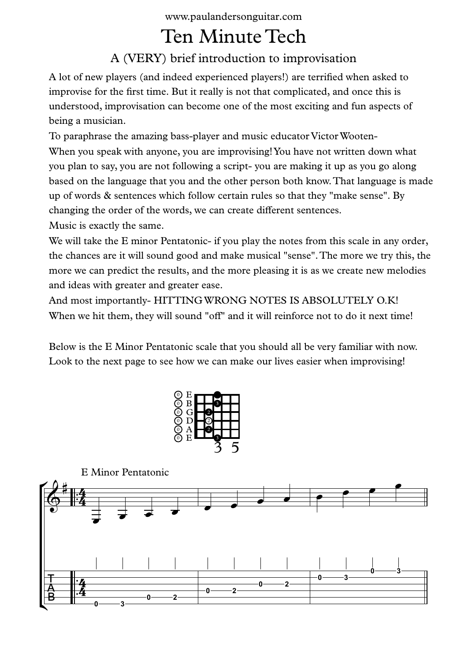www.paulandersonguitar.com

## Ten Minute Tech

## A (VERY) brief introduction to improvisation

A lot of new players (and indeed experienced players!) are terrified when asked to improvise for the first time. But it really is not that complicated, and once this is understood, improvisation can become one of the most exciting and fun aspects of being a musician.

To paraphrase the amazing bass-player and music educator VictorWooten- When you speak with anyone, you are improvising! You have not written down what you plan to say, you are not following a script- you are making it up as you go along based on the language that you and the other person both know.That language is made up of words & sentences which follow certain rules so that they "make sense". By changing the order of the words, we can create different sentences.

Music is exactly the same.

We will take the E minor Pentatonic- if you play the notes from this scale in any order, the chances are it will sound good and make musical "sense".The more we try this, the more we can predict the results, and the more pleasing it is as we create new melodies and ideas with greater and greater ease.

And most importantly- HITTINGWRONG NOTES IS ABSOLUTELY O.K! When we hit them, they will sound "off" and it will reinforce not to do it next time!

Below is the E Minor Pentatonic scale that you should all be very familiar with now. Look to the next page to see how we can make our lives easier when improvising!



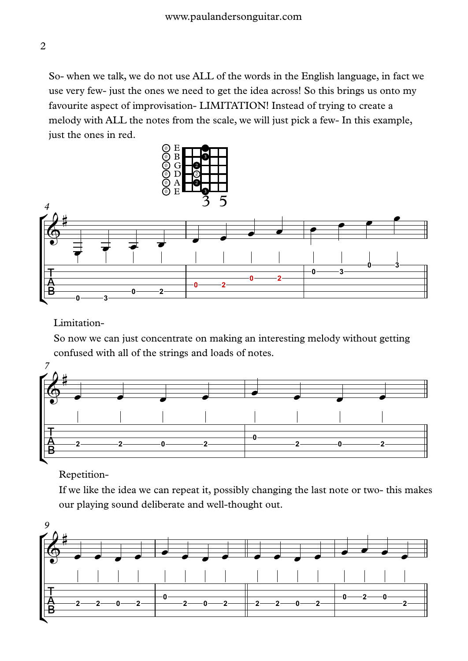So- when we talk, we do not use ALL of the words in the English language, in fact we use very few- just the ones we need to get the idea across! So this brings us onto my favourite aspect of improvisation- LIMITATION! Instead of trying to create a melody with ALL the notes from the scale, we will just pick a few- In this example, just the ones in red.



Limitation-

So now we can just concentrate on making an interesting melody without getting confused with all of the strings and loads of notes.



Repetition-

If we like the idea we can repeat it, possibly changing the last note or two- this makes our playing sound deliberate and well-thought out.